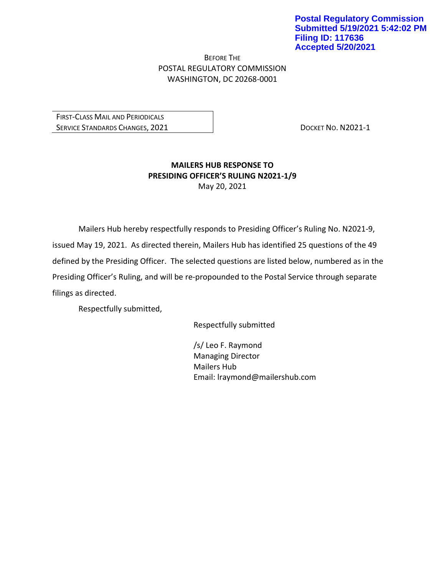BEFORE THE POSTAL REGULATORY COMMISSION WASHINGTON, DC 20268-0001

FIRST-CLASS MAIL AND PERIODICALS SERVICE STANDARDS CHANGES, 2021 | DOCKET NO. N2021-1

## **MAILERS HUB RESPONSE TO PRESIDING OFFICER'S RULING N2021-1/9** May 20, 2021

Mailers Hub hereby respectfully responds to Presiding Officer's Ruling No. N2021-9, issued May 19, 2021. As directed therein, Mailers Hub has identified 25 questions of the 49 defined by the Presiding Officer. The selected questions are listed below, numbered as in the Presiding Officer's Ruling, and will be re-propounded to the Postal Service through separate filings as directed.

Respectfully submitted,

Respectfully submitted

/s/ Leo F. Raymond Managing Director Mailers Hub Email: lraymond@mailershub.com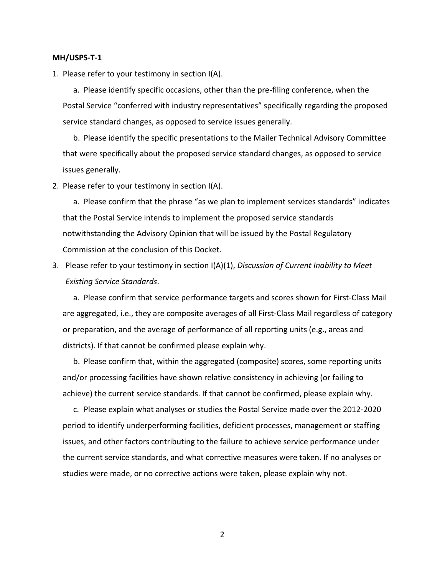## **MH/USPS-T-1**

1. Please refer to your testimony in section I(A).

a. Please identify specific occasions, other than the pre-filing conference, when the Postal Service "conferred with industry representatives" specifically regarding the proposed service standard changes, as opposed to service issues generally.

b. Please identify the specific presentations to the Mailer Technical Advisory Committee that were specifically about the proposed service standard changes, as opposed to service issues generally.

2. Please refer to your testimony in section I(A).

a. Please confirm that the phrase "as we plan to implement services standards" indicates that the Postal Service intends to implement the proposed service standards notwithstanding the Advisory Opinion that will be issued by the Postal Regulatory Commission at the conclusion of this Docket.

3. Please refer to your testimony in section I(A)(1), *Discussion of Current Inability to Meet Existing Service Standards*.

a. Please confirm that service performance targets and scores shown for First-Class Mail are aggregated, i.e., they are composite averages of all First-Class Mail regardless of category or preparation, and the average of performance of all reporting units (e.g., areas and districts). If that cannot be confirmed please explain why.

b. Please confirm that, within the aggregated (composite) scores, some reporting units and/or processing facilities have shown relative consistency in achieving (or failing to achieve) the current service standards. If that cannot be confirmed, please explain why.

c. Please explain what analyses or studies the Postal Service made over the 2012-2020 period to identify underperforming facilities, deficient processes, management or staffing issues, and other factors contributing to the failure to achieve service performance under the current service standards, and what corrective measures were taken. If no analyses or studies were made, or no corrective actions were taken, please explain why not.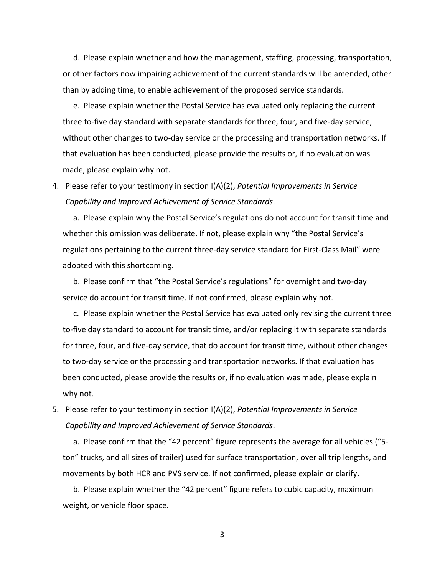d. Please explain whether and how the management, staffing, processing, transportation, or other factors now impairing achievement of the current standards will be amended, other than by adding time, to enable achievement of the proposed service standards.

e. Please explain whether the Postal Service has evaluated only replacing the current three to-five day standard with separate standards for three, four, and five-day service, without other changes to two-day service or the processing and transportation networks. If that evaluation has been conducted, please provide the results or, if no evaluation was made, please explain why not.

4. Please refer to your testimony in section I(A)(2), *Potential Improvements in Service Capability and Improved Achievement of Service Standards*.

a. Please explain why the Postal Service's regulations do not account for transit time and whether this omission was deliberate. If not, please explain why "the Postal Service's regulations pertaining to the current three-day service standard for First-Class Mail" were adopted with this shortcoming.

b. Please confirm that "the Postal Service's regulations" for overnight and two-day service do account for transit time. If not confirmed, please explain why not.

c. Please explain whether the Postal Service has evaluated only revising the current three to-five day standard to account for transit time, and/or replacing it with separate standards for three, four, and five-day service, that do account for transit time, without other changes to two-day service or the processing and transportation networks. If that evaluation has been conducted, please provide the results or, if no evaluation was made, please explain why not.

5. Please refer to your testimony in section I(A)(2), *Potential Improvements in Service Capability and Improved Achievement of Service Standards*.

a. Please confirm that the "42 percent" figure represents the average for all vehicles ("5 ton" trucks, and all sizes of trailer) used for surface transportation, over all trip lengths, and movements by both HCR and PVS service. If not confirmed, please explain or clarify.

b. Please explain whether the "42 percent" figure refers to cubic capacity, maximum weight, or vehicle floor space.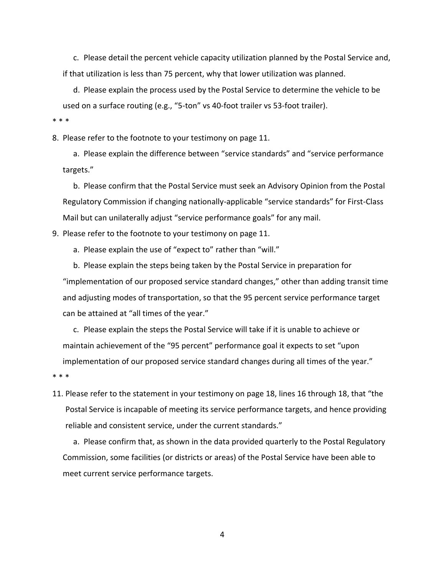c. Please detail the percent vehicle capacity utilization planned by the Postal Service and, if that utilization is less than 75 percent, why that lower utilization was planned.

d. Please explain the process used by the Postal Service to determine the vehicle to be used on a surface routing (e.g., "5-ton" vs 40-foot trailer vs 53-foot trailer).

\* \* \*

8. Please refer to the footnote to your testimony on page 11.

a. Please explain the difference between "service standards" and "service performance targets."

b. Please confirm that the Postal Service must seek an Advisory Opinion from the Postal Regulatory Commission if changing nationally-applicable "service standards" for First-Class Mail but can unilaterally adjust "service performance goals" for any mail.

9. Please refer to the footnote to your testimony on page 11.

a. Please explain the use of "expect to" rather than "will."

b. Please explain the steps being taken by the Postal Service in preparation for "implementation of our proposed service standard changes," other than adding transit time and adjusting modes of transportation, so that the 95 percent service performance target can be attained at "all times of the year."

c. Please explain the steps the Postal Service will take if it is unable to achieve or maintain achievement of the "95 percent" performance goal it expects to set "upon implementation of our proposed service standard changes during all times of the year."

\* \* \*

11. Please refer to the statement in your testimony on page 18, lines 16 through 18, that "the Postal Service is incapable of meeting its service performance targets, and hence providing reliable and consistent service, under the current standards."

a. Please confirm that, as shown in the data provided quarterly to the Postal Regulatory Commission, some facilities (or districts or areas) of the Postal Service have been able to meet current service performance targets.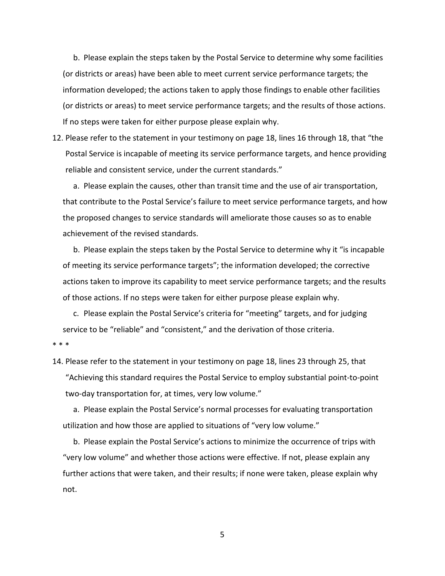b. Please explain the steps taken by the Postal Service to determine why some facilities (or districts or areas) have been able to meet current service performance targets; the information developed; the actions taken to apply those findings to enable other facilities (or districts or areas) to meet service performance targets; and the results of those actions. If no steps were taken for either purpose please explain why.

12. Please refer to the statement in your testimony on page 18, lines 16 through 18, that "the Postal Service is incapable of meeting its service performance targets, and hence providing reliable and consistent service, under the current standards."

a. Please explain the causes, other than transit time and the use of air transportation, that contribute to the Postal Service's failure to meet service performance targets, and how the proposed changes to service standards will ameliorate those causes so as to enable achievement of the revised standards.

b. Please explain the steps taken by the Postal Service to determine why it "is incapable of meeting its service performance targets"; the information developed; the corrective actions taken to improve its capability to meet service performance targets; and the results of those actions. If no steps were taken for either purpose please explain why.

c. Please explain the Postal Service's criteria for "meeting" targets, and for judging service to be "reliable" and "consistent," and the derivation of those criteria.

\* \* \*

14. Please refer to the statement in your testimony on page 18, lines 23 through 25, that "Achieving this standard requires the Postal Service to employ substantial point-to-point two-day transportation for, at times, very low volume."

a. Please explain the Postal Service's normal processes for evaluating transportation utilization and how those are applied to situations of "very low volume."

b. Please explain the Postal Service's actions to minimize the occurrence of trips with "very low volume" and whether those actions were effective. If not, please explain any further actions that were taken, and their results; if none were taken, please explain why not.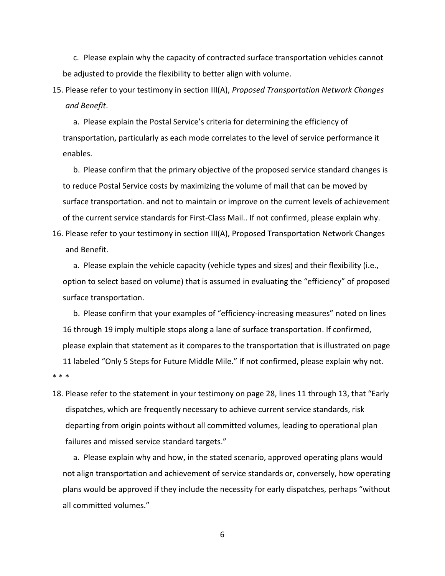c. Please explain why the capacity of contracted surface transportation vehicles cannot be adjusted to provide the flexibility to better align with volume.

15. Please refer to your testimony in section III(A), *Proposed Transportation Network Changes and Benefit*.

a. Please explain the Postal Service's criteria for determining the efficiency of transportation, particularly as each mode correlates to the level of service performance it enables.

b. Please confirm that the primary objective of the proposed service standard changes is to reduce Postal Service costs by maximizing the volume of mail that can be moved by surface transportation. and not to maintain or improve on the current levels of achievement of the current service standards for First-Class Mail.. If not confirmed, please explain why.

16. Please refer to your testimony in section III(A), Proposed Transportation Network Changes and Benefit.

a. Please explain the vehicle capacity (vehicle types and sizes) and their flexibility (i.e., option to select based on volume) that is assumed in evaluating the "efficiency" of proposed surface transportation.

b. Please confirm that your examples of "efficiency-increasing measures" noted on lines 16 through 19 imply multiple stops along a lane of surface transportation. If confirmed, please explain that statement as it compares to the transportation that is illustrated on page 11 labeled "Only 5 Steps for Future Middle Mile." If not confirmed, please explain why not. \* \* \*

18. Please refer to the statement in your testimony on page 28, lines 11 through 13, that "Early dispatches, which are frequently necessary to achieve current service standards, risk departing from origin points without all committed volumes, leading to operational plan failures and missed service standard targets."

a. Please explain why and how, in the stated scenario, approved operating plans would not align transportation and achievement of service standards or, conversely, how operating plans would be approved if they include the necessity for early dispatches, perhaps "without all committed volumes."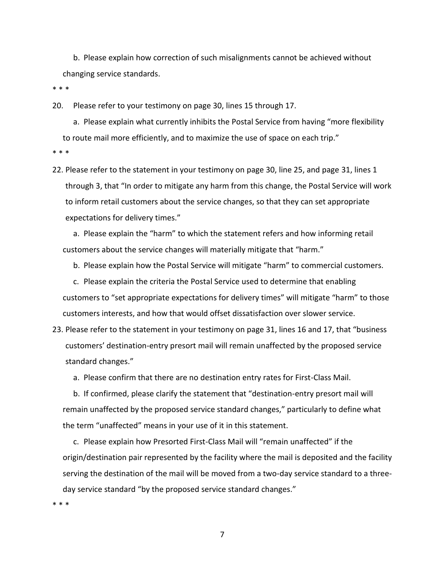b. Please explain how correction of such misalignments cannot be achieved without changing service standards.

\* \* \*

20. Please refer to your testimony on page 30, lines 15 through 17.

a. Please explain what currently inhibits the Postal Service from having "more flexibility to route mail more efficiently, and to maximize the use of space on each trip."

\* \* \*

22. Please refer to the statement in your testimony on page 30, line 25, and page 31, lines 1 through 3, that "In order to mitigate any harm from this change, the Postal Service will work to inform retail customers about the service changes, so that they can set appropriate expectations for delivery times."

a. Please explain the "harm" to which the statement refers and how informing retail customers about the service changes will materially mitigate that "harm."

b. Please explain how the Postal Service will mitigate "harm" to commercial customers.

c. Please explain the criteria the Postal Service used to determine that enabling customers to "set appropriate expectations for delivery times" will mitigate "harm" to those customers interests, and how that would offset dissatisfaction over slower service.

23. Please refer to the statement in your testimony on page 31, lines 16 and 17, that "business customers' destination-entry presort mail will remain unaffected by the proposed service standard changes."

a. Please confirm that there are no destination entry rates for First-Class Mail.

b. If confirmed, please clarify the statement that "destination-entry presort mail will remain unaffected by the proposed service standard changes," particularly to define what the term "unaffected" means in your use of it in this statement.

c. Please explain how Presorted First-Class Mail will "remain unaffected" if the origin/destination pair represented by the facility where the mail is deposited and the facility serving the destination of the mail will be moved from a two-day service standard to a threeday service standard "by the proposed service standard changes."

\* \* \*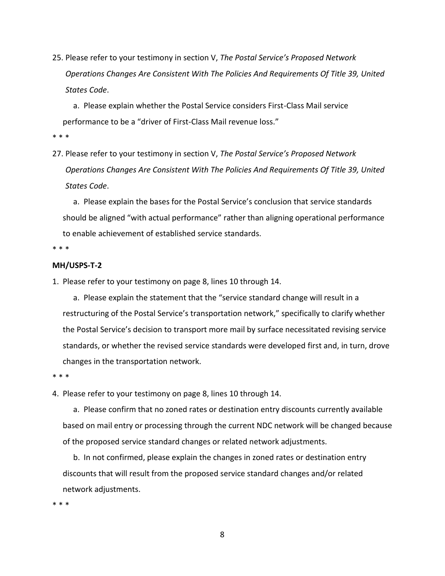25. Please refer to your testimony in section V, *The Postal Service's Proposed Network Operations Changes Are Consistent With The Policies And Requirements Of Title 39, United States Code*.

a. Please explain whether the Postal Service considers First-Class Mail service performance to be a "driver of First-Class Mail revenue loss."

- \* \* \*
- 27. Please refer to your testimony in section V, *The Postal Service's Proposed Network Operations Changes Are Consistent With The Policies And Requirements Of Title 39, United States Code*.

a. Please explain the bases for the Postal Service's conclusion that service standards should be aligned "with actual performance" rather than aligning operational performance to enable achievement of established service standards.

\* \* \*

## **MH/USPS-T-2**

1. Please refer to your testimony on page 8, lines 10 through 14.

a. Please explain the statement that the "service standard change will result in a restructuring of the Postal Service's transportation network," specifically to clarify whether the Postal Service's decision to transport more mail by surface necessitated revising service standards, or whether the revised service standards were developed first and, in turn, drove changes in the transportation network.

\* \* \*

4. Please refer to your testimony on page 8, lines 10 through 14.

a. Please confirm that no zoned rates or destination entry discounts currently available based on mail entry or processing through the current NDC network will be changed because of the proposed service standard changes or related network adjustments.

b. In not confirmed, please explain the changes in zoned rates or destination entry discounts that will result from the proposed service standard changes and/or related network adjustments.

\* \* \*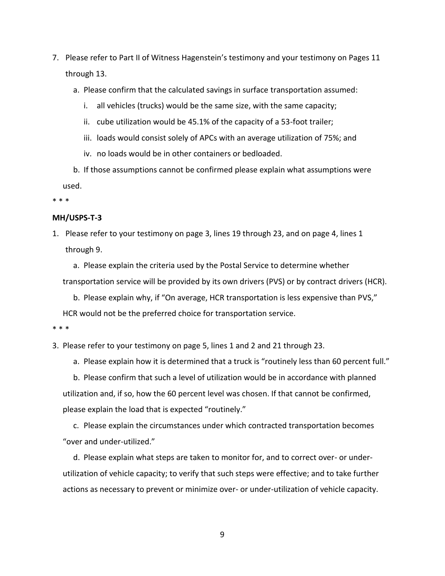- 7. Please refer to Part II of Witness Hagenstein's testimony and your testimony on Pages 11 through 13.
	- a. Please confirm that the calculated savings in surface transportation assumed:
		- i. all vehicles (trucks) would be the same size, with the same capacity;
		- ii. cube utilization would be 45.1% of the capacity of a 53-foot trailer;
		- iii. loads would consist solely of APCs with an average utilization of 75%; and
		- iv. no loads would be in other containers or bedloaded.

b. If those assumptions cannot be confirmed please explain what assumptions were used.

\* \* \*

## **MH/USPS-T-3**

1. Please refer to your testimony on page 3, lines 19 through 23, and on page 4, lines 1 through 9.

a. Please explain the criteria used by the Postal Service to determine whether transportation service will be provided by its own drivers (PVS) or by contract drivers (HCR).

b. Please explain why, if "On average, HCR transportation is less expensive than PVS," HCR would not be the preferred choice for transportation service.

\* \* \*

3. Please refer to your testimony on page 5, lines 1 and 2 and 21 through 23.

a. Please explain how it is determined that a truck is "routinely less than 60 percent full."

b. Please confirm that such a level of utilization would be in accordance with planned utilization and, if so, how the 60 percent level was chosen. If that cannot be confirmed, please explain the load that is expected "routinely."

c. Please explain the circumstances under which contracted transportation becomes "over and under-utilized."

d. Please explain what steps are taken to monitor for, and to correct over- or underutilization of vehicle capacity; to verify that such steps were effective; and to take further actions as necessary to prevent or minimize over- or under-utilization of vehicle capacity.